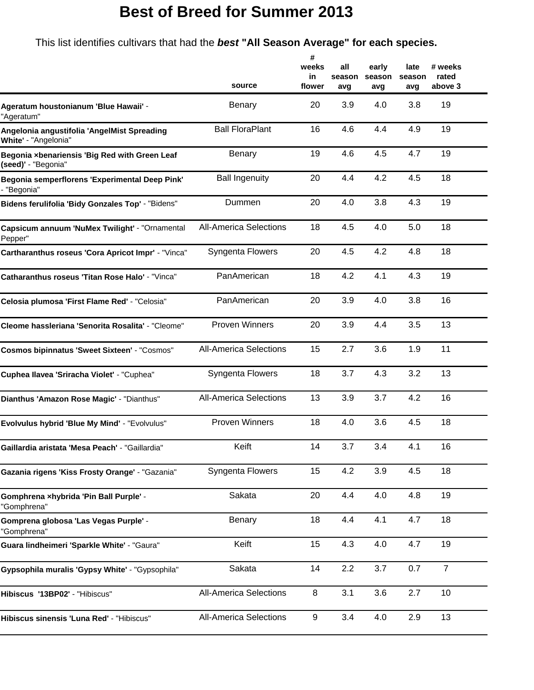## **Best of Breed for Summer 2013**

This list identifies cultivars that had the *best* **"All Season Average" for each species.**

|                                                                      | source                        | #<br>weeks<br>in<br>flower | all<br>season<br>avg | early<br>season<br>avg | late<br>season<br>avg | # weeks<br>rated<br>above 3 |
|----------------------------------------------------------------------|-------------------------------|----------------------------|----------------------|------------------------|-----------------------|-----------------------------|
| Ageratum houstonianum 'Blue Hawaii' -<br>"Ageratum"                  | Benary                        | 20                         | 3.9                  | 4.0                    | 3.8                   | 19                          |
| Angelonia angustifolia 'AngelMist Spreading<br>White' - "Angelonia"  | <b>Ball FloraPlant</b>        | 16                         | 4.6                  | 4.4                    | 4.9                   | 19                          |
| Begonia xbenariensis 'Big Red with Green Leaf<br>(seed)' - "Begonia" | Benary                        | 19                         | 4.6                  | 4.5                    | 4.7                   | 19                          |
| Begonia semperflorens 'Experimental Deep Pink'<br>- "Begonia"        | <b>Ball Ingenuity</b>         | 20                         | 4.4                  | 4.2                    | 4.5                   | 18                          |
| Bidens ferulifolia 'Bidy Gonzales Top' - "Bidens"                    | Dummen                        | 20                         | 4.0                  | 3.8                    | 4.3                   | 19                          |
| Capsicum annuum 'NuMex Twilight' - "Ornamental<br>Pepper"            | <b>All-America Selections</b> | 18                         | 4.5                  | 4.0                    | 5.0                   | 18                          |
| Cartharanthus roseus 'Cora Apricot Impr' - "Vinca"                   | Syngenta Flowers              | 20                         | 4.5                  | 4.2                    | 4.8                   | 18                          |
| Catharanthus roseus 'Titan Rose Halo' - "Vinca"                      | PanAmerican                   | 18                         | 4.2                  | 4.1                    | 4.3                   | 19                          |
| Celosia plumosa 'First Flame Red' - "Celosia"                        | PanAmerican                   | 20                         | 3.9                  | 4.0                    | 3.8                   | 16                          |
| Cleome hassleriana 'Senorita Rosalita' - "Cleome"                    | <b>Proven Winners</b>         | 20                         | 3.9                  | 4.4                    | 3.5                   | 13                          |
| <b>Cosmos bipinnatus 'Sweet Sixteen' - "Cosmos"</b>                  | <b>All-America Selections</b> | 15                         | 2.7                  | 3.6                    | 1.9                   | 11                          |
| Cuphea Ilavea 'Sriracha Violet' - "Cuphea"                           | Syngenta Flowers              | 18                         | 3.7                  | 4.3                    | 3.2                   | 13                          |
| Dianthus 'Amazon Rose Magic' - "Dianthus"                            | <b>All-America Selections</b> | 13                         | 3.9                  | 3.7                    | 4.2                   | 16                          |
| Evolvulus hybrid 'Blue My Mind' - "Evolvulus"                        | <b>Proven Winners</b>         | 18                         | 4.0                  | 3.6                    | 4.5                   | 18                          |
| <b>Gaillardia aristata 'Mesa Peach'</b> - "Gaillardia'               | Keift                         | 14                         | 3.7                  | 3.4                    | 4.1                   | 16                          |
| Gazania rigens 'Kiss Frosty Orange' - "Gazania"                      | Syngenta Flowers              | 15                         | 4.2                  | 3.9                    | 4.5                   | 18                          |
| Gomphrena xhybrida 'Pin Ball Purple' -<br>"Gomphrena"                | Sakata                        | 20                         | 4.4                  | 4.0                    | 4.8                   | 19                          |
| Gomprena globosa 'Las Vegas Purple' -<br>"Gomphrena"                 | Benary                        | 18                         | 4.4                  | 4.1                    | 4.7                   | 18                          |
| Guara lindheimeri 'Sparkle White' - "Gaura"                          | Keift                         | 15                         | 4.3                  | 4.0                    | 4.7                   | 19                          |
| Gypsophila muralis 'Gypsy White' - "Gypsophila"                      | Sakata                        | 14                         | 2.2                  | 3.7                    | 0.7                   | $\overline{7}$              |
| Hibiscus '13BP02' - "Hibiscus"                                       | <b>All-America Selections</b> | 8                          | 3.1                  | 3.6                    | 2.7                   | 10                          |
| Hibiscus sinensis 'Luna Red' - "Hibiscus"                            | <b>All-America Selections</b> | 9                          | 3.4                  | 4.0                    | 2.9                   | 13                          |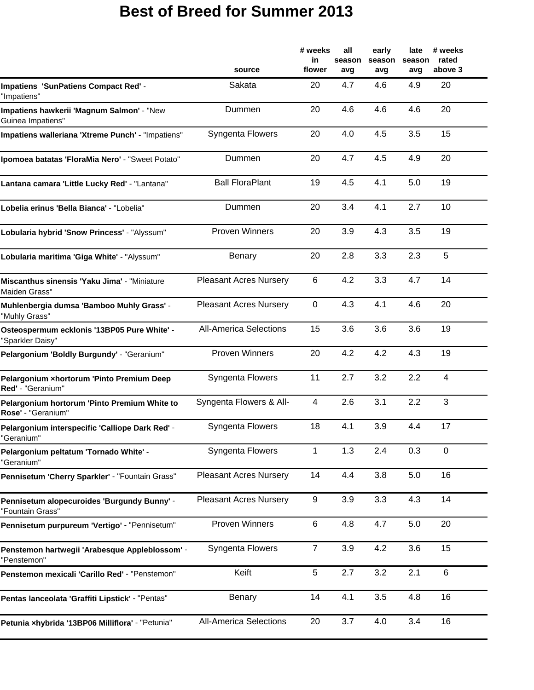## **Best of Breed for Summer 2013**

|                                                                    | source                        | # weeks<br>in<br>flower | all<br>season<br>avg | early<br>season<br>avg | late<br>season<br>avg | # weeks<br>rated<br>above 3 |
|--------------------------------------------------------------------|-------------------------------|-------------------------|----------------------|------------------------|-----------------------|-----------------------------|
| <b>Impatiens 'SunPatiens Compact Red' -</b><br>"Impatiens"         | Sakata                        | 20                      | 4.7                  | 4.6                    | 4.9                   | 20                          |
| Impatiens hawkerii 'Magnum Salmon' - "New<br>Guinea Impatiens"     | Dummen                        | 20                      | 4.6                  | 4.6                    | 4.6                   | 20                          |
| Impatiens walleriana 'Xtreme Punch' - "Impatiens"                  | <b>Syngenta Flowers</b>       | 20                      | 4.0                  | 4.5                    | 3.5                   | 15                          |
| Ipomoea batatas 'FloraMia Nero' - "Sweet Potato"                   | Dummen                        | 20                      | 4.7                  | 4.5                    | 4.9                   | 20                          |
| Lantana camara 'Little Lucky Red' - "Lantana"                      | <b>Ball FloraPlant</b>        | 19                      | 4.5                  | 4.1                    | 5.0                   | 19                          |
| Lobelia erinus 'Bella Bianca' - "Lobelia"                          | Dummen                        | 20                      | 3.4                  | 4.1                    | 2.7                   | 10                          |
| Lobularia hybrid 'Snow Princess' - "Alyssum"                       | <b>Proven Winners</b>         | 20                      | 3.9                  | 4.3                    | 3.5                   | 19                          |
| Lobularia maritima 'Giga White' - "Alyssum"                        | Benary                        | 20                      | 2.8                  | 3.3                    | 2.3                   | 5                           |
| Miscanthus sinensis 'Yaku Jima' - "Miniature<br>Maiden Grass"      | <b>Pleasant Acres Nursery</b> | $6\phantom{1}$          | 4.2                  | 3.3                    | 4.7                   | 14                          |
| Muhlenbergia dumsa 'Bamboo Muhly Grass' -<br>"Muhly Grass"         | <b>Pleasant Acres Nursery</b> | $\mathbf 0$             | 4.3                  | 4.1                    | 4.6                   | 20                          |
| Osteospermum ecklonis '13BP05 Pure White' -<br>"Sparkler Daisy"    | <b>All-America Selections</b> | 15                      | 3.6                  | 3.6                    | 3.6                   | 19                          |
| Pelargonium 'Boldly Burgundy' - "Geranium"                         | <b>Proven Winners</b>         | 20                      | 4.2                  | 4.2                    | 4.3                   | 19                          |
| Pelargonium xhortorum 'Pinto Premium Deep<br>Red' - "Geranium"     | Syngenta Flowers              | 11                      | 2.7                  | 3.2                    | 2.2                   | 4                           |
| Pelargonium hortorum 'Pinto Premium White to<br>Rose' - "Geranium" | Syngenta Flowers & All-       | 4                       | 2.6                  | 3.1                    | 2.2                   | 3                           |
| Pelargonium interspecific 'Calliope Dark Red' -<br>'Geranium'      | Syngenta Flowers              | 18                      | 4.1                  | 3.9                    | 4.4                   | 17                          |
| Pelargonium peltatum 'Tornado White' -<br>"Geranium"               | Syngenta Flowers              | $\mathbf{1}$            | 1.3                  | 2.4                    | 0.3                   | $\mathbf 0$                 |
| Pennisetum 'Cherry Sparkler' - "Fountain Grass"                    | <b>Pleasant Acres Nursery</b> | 14                      | 4.4                  | 3.8                    | 5.0                   | 16                          |
| Pennisetum alopecuroides 'Burgundy Bunny' -<br>"Fountain Grass"    | <b>Pleasant Acres Nursery</b> | 9                       | 3.9                  | 3.3                    | 4.3                   | 14                          |
| Pennisetum purpureum 'Vertigo' - "Pennisetum"                      | <b>Proven Winners</b>         | $\,6$                   | 4.8                  | 4.7                    | 5.0                   | 20                          |
| Penstemon hartwegii 'Arabesque Appleblossom' -<br>"Penstemon"      | Syngenta Flowers              | $\overline{7}$          | 3.9                  | 4.2                    | 3.6                   | 15                          |
| Penstemon mexicali 'Carillo Red' - "Penstemon"                     | Keift                         | $\sqrt{5}$              | 2.7                  | 3.2                    | 2.1                   | $\,6\,$                     |
| Pentas lanceolata 'Graffiti Lipstick' - "Pentas"                   | Benary                        | 14                      | 4.1                  | 3.5                    | 4.8                   | 16                          |
| Petunia xhybrida '13BP06 Milliflora' - "Petunia"                   | <b>All-America Selections</b> | 20                      | 3.7                  | 4.0                    | 3.4                   | 16                          |